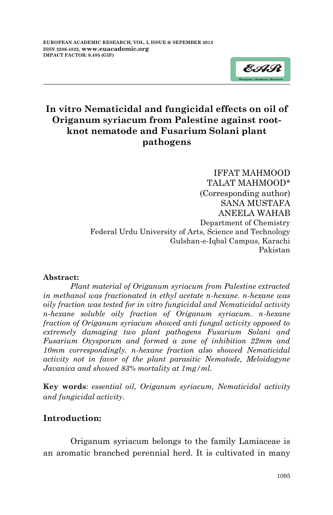

# **In vitro Nematicidal and fungicidal effects on oil of Origanum syriacum from Palestine against rootknot nematode and Fusarium Solani plant pathogens**

IFFAT MAHMOOD TALAT MAHMOOD\* (Corresponding author) SANA MUSTAFA ANEELA WAHAB Department of Chemistry Federal Urdu University of Arts, Science and Technology Gulshan-e-Iqbal Campus, Karachi Pakistan

#### **Abstract:**

*Plant material of Origanum syriacum from Palestine extracted in methanol was fractionated in ethyl acetate n-hexane. n-hexane was oily fraction was tested for in vitro fungicidal and Nematicidal activity n-hexane soluble oily fraction of Origanum syriacum. n-hexane fraction of Origanum syriacum showed anti fungal activity opposed to extremely damaging two plant pathogens Fusarium Solani and Fusarium Oxysporum and formed a zone of inhibition 22mm and 10mm correspondingly. n-hexane fraction also showed Nematicidal activity not in favor of the plant parasitic Nematode, Meloidogyne Javanica and showed 83% mortality at 1mg/ml.*

**Key words**: *essential oil, Origanum syriacum, Nematicidal activity and fungicidal activity*.

### **Introduction:**

Origanum syriacum belongs to the family Lamiaceae is an aromatic branched perennial herd. It is cultivated in many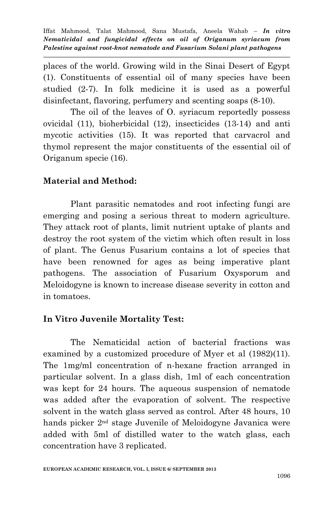places of the world. Growing wild in the Sinai Desert of Egypt (1). Constituents of essential oil of many species have been studied (2-7). In folk medicine it is used as a powerful disinfectant, flavoring, perfumery and scenting soaps (8-10).

The oil of the leaves of O. syriacum reportedly possess ovicidal (11), bioherbicidal (12), insecticides (13-14) and anti mycotic activities (15). It was reported that carvacrol and thymol represent the major constituents of the essential oil of Origanum specie (16).

### **Material and Method:**

Plant parasitic nematodes and root infecting fungi are emerging and posing a serious threat to modern agriculture. They attack root of plants, limit nutrient uptake of plants and destroy the root system of the victim which often result in loss of plant. The Genus Fusarium contains a lot of species that have been renowned for ages as being imperative plant pathogens. The association of Fusarium Oxysporum and Meloidogyne is known to increase disease severity in cotton and in tomatoes.

## **In Vitro Juvenile Mortality Test:**

The Nematicidal action of bacterial fractions was examined by a customized procedure of Myer et al (1982)(11). The 1mg/ml concentration of n-hexane fraction arranged in particular solvent. In a glass dish, 1ml of each concentration was kept for 24 hours. The aqueous suspension of nematode was added after the evaporation of solvent. The respective solvent in the watch glass served as control. After 48 hours, 10 hands picker 2<sup>nd</sup> stage Juvenile of Meloidogyne Javanica were added with 5ml of distilled water to the watch glass, each concentration have 3 replicated.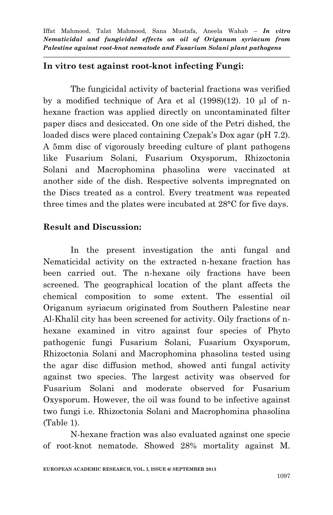#### **In vitro test against root-knot infecting Fungi:**

The fungicidal activity of bacterial fractions was verified by a modified technique of Ara et al (1998)(12). 10 µl of nhexane fraction was applied directly on uncontaminated filter paper discs and desiccated. On one side of the Petri dished, the loaded discs were placed containing Czepak's Dox agar (pH 7.2). A 5mm disc of vigorously breeding culture of plant pathogens like Fusarium Solani, Fusarium Oxysporum, Rhizoctonia Solani and Macrophomina phasolina were vaccinated at another side of the dish. Respective solvents impregnated on the Discs treated as a control. Every treatment was repeated three times and the plates were incubated at 28°C for five days.

#### **Result and Discussion:**

In the present investigation the anti fungal and Nematicidal activity on the extracted n-hexane fraction has been carried out. The n-hexane oily fractions have been screened. The geographical location of the plant affects the chemical composition to some extent. The essential oil Origanum syriacum originated from Southern Palestine near Al-Khalil city has been screened for activity. Oily fractions of nhexane examined in vitro against four species of Phyto pathogenic fungi Fusarium Solani, Fusarium Oxysporum, Rhizoctonia Solani and Macrophomina phasolina tested using the agar disc diffusion method, showed anti fungal activity against two species. The largest activity was observed for Fusarium Solani and moderate observed for Fusarium Oxysporum. However, the oil was found to be infective against two fungi i.e. Rhizoctonia Solani and Macrophomina phasolina (Table 1).

N-hexane fraction was also evaluated against one specie of root-knot nematode. Showed 28% mortality against M.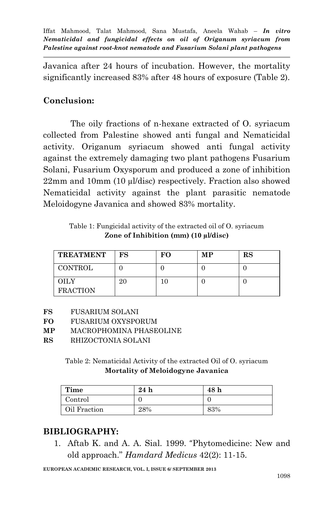Javanica after 24 hours of incubation. However, the mortality significantly increased 83% after 48 hours of exposure (Table 2).

### **Conclusion:**

The oily fractions of n-hexane extracted of O. syriacum collected from Palestine showed anti fungal and Nematicidal activity. Origanum syriacum showed anti fungal activity against the extremely damaging two plant pathogens Fusarium Solani, Fusarium Oxysporum and produced a zone of inhibition 22mm and 10mm (10 µl/disc) respectively. Fraction also showed Nematicidal activity against the plant parasitic nematode Meloidogyne Javanica and showed 83% mortality.

Table 1: Fungicidal activity of the extracted oil of O. syriacum **Zone of Inhibition (mm) (10 µl/disc)**

| <b>TREATMENT</b>        | FS | FО | MР | RS |
|-------------------------|----|----|----|----|
| <b>CONTROL</b>          |    |    |    |    |
| OH Y<br><b>FRACTION</b> |    |    |    |    |

- **FS** FUSARIUM SOLANI
- **FO** FUSARIUM OXYSPORUM
- **MP** MACROPHOMINA PHASEOLINE
- **RS** RHIZOCTONIA SOLANI

Table 2: Nematicidal Activity of the extracted Oil of O. syriacum **Mortality of Meloidogyne Javanica**

| Time         | 24h | 48 h |
|--------------|-----|------|
| Control      |     |      |
| Oil Fraction | 28% | 83%  |

## **BIBLIOGRAPHY:**

1. Aftab K. and A. A. Sial. 1999. "Phytomedicine: New and old approach." *Hamdard Medicus* 42(2): 11-15.

**EUROPEAN ACADEMIC RESEARCH, VOL. I, ISSUE 6/ SEPTEMBER 2013**